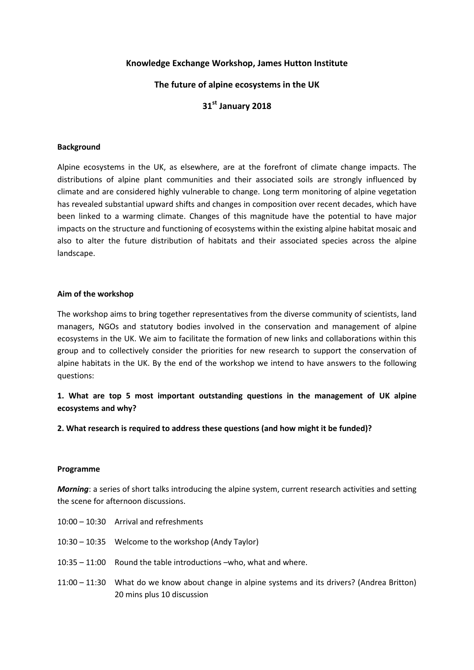## **Knowledge Exchange Workshop, James Hutton Institute**

## **The future of alpine ecosystems in the UK**

# **31st January 2018**

### **Background**

Alpine ecosystems in the UK, as elsewhere, are at the forefront of climate change impacts. The distributions of alpine plant communities and their associated soils are strongly influenced by climate and are considered highly vulnerable to change. Long term monitoring of alpine vegetation has revealed substantial upward shifts and changes in composition over recent decades, which have been linked to a warming climate. Changes of this magnitude have the potential to have major impacts on the structure and functioning of ecosystems within the existing alpine habitat mosaic and also to alter the future distribution of habitats and their associated species across the alpine landscape.

#### **Aim of the workshop**

The workshop aims to bring together representatives from the diverse community of scientists, land managers, NGOs and statutory bodies involved in the conservation and management of alpine ecosystems in the UK. We aim to facilitate the formation of new links and collaborations within this group and to collectively consider the priorities for new research to support the conservation of alpine habitats in the UK. By the end of the workshop we intend to have answers to the following questions:

## **1. What are top 5 most important outstanding questions in the management of UK alpine ecosystems and why?**

**2. What research is required to address these questions (and how might it be funded)?**

#### **Programme**

*Morning*: a series of short talks introducing the alpine system, current research activities and setting the scene for afternoon discussions.

| 10:00 - 10:30 Arrival and refreshments                                                         |
|------------------------------------------------------------------------------------------------|
| 10:30 – 10:35 Welcome to the workshop (Andy Taylor)                                            |
| $10:35 - 11:00$ Round the table introductions $\sim$ who, what and where.                      |
| 11:00 – 11:30 What do we know about change in alpine systems and its drivers? (Andrea Britton) |

20 mins plus 10 discussion